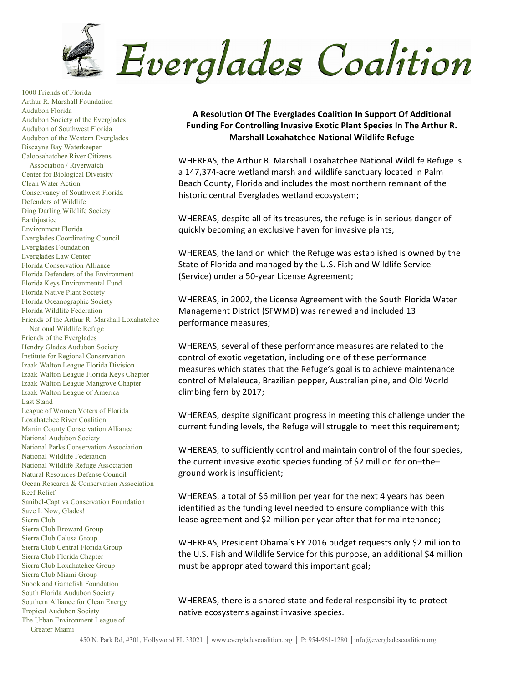

1000 Friends of Florida Arthur R. Marshall Foundation Audubon Florida Audubon Society of the Everglades Audubon of Southwest Florida Audubon of the Western Everglades Biscayne Bay Waterkeeper Caloosahatchee River Citizens Association / Riverwatch Center for Biological Diversity Clean Water Action Conservancy of Southwest Florida Defenders of Wildlife Ding Darling Wildlife Society **Earth**justice Environment Florida Everglades Coordinating Council Everglades Foundation Everglades Law Center Florida Conservation Alliance Florida Defenders of the Environment Florida Keys Environmental Fund Florida Native Plant Society Florida Oceanographic Society Florida Wildlife Federation Friends of the Arthur R. Marshall Loxahatchee National Wildlife Refuge Friends of the Everglades Hendry Glades Audubon Society Institute for Regional Conservation Izaak Walton League Florida Division Izaak Walton League Florida Keys Chapter Izaak Walton League Mangrove Chapter Izaak Walton League of America Last Stand League of Women Voters of Florida Loxahatchee River Coalition Martin County Conservation Alliance National Audubon Society National Parks Conservation Association National Wildlife Federation National Wildlife Refuge Association Natural Resources Defense Council Ocean Research & Conservation Association Reef Relief Sanibel-Captiva Conservation Foundation Save It Now, Glades! Sierra Club Sierra Club Broward Group Sierra Club Calusa Group Sierra Club Central Florida Group Sierra Club Florida Chapter Sierra Club Loxahatchee Group Sierra Club Miami Group Snook and Gamefish Foundation South Florida Audubon Society Southern Alliance for Clean Energy Tropical Audubon Society The Urban Environment League of

Greater Miami

A Resolution Of The Everglades Coalition In Support Of Additional Funding For Controlling Invasive Exotic Plant Species In The Arthur R. **Marshall Loxahatchee National Wildlife Refuge**

WHEREAS, the Arthur R. Marshall Loxahatchee National Wildlife Refuge is a 147,374-acre wetland marsh and wildlife sanctuary located in Palm Beach County, Florida and includes the most northern remnant of the historic central Everglades wetland ecosystem;

WHEREAS, despite all of its treasures, the refuge is in serious danger of quickly becoming an exclusive haven for invasive plants;

WHEREAS, the land on which the Refuge was established is owned by the State of Florida and managed by the U.S. Fish and Wildlife Service (Service) under a 50-year License Agreement;

WHEREAS, in 2002, the License Agreement with the South Florida Water Management District (SFWMD) was renewed and included 13 performance measures;

WHEREAS, several of these performance measures are related to the control of exotic vegetation, including one of these performance measures which states that the Refuge's goal is to achieve maintenance control of Melaleuca, Brazilian pepper, Australian pine, and Old World climbing fern by 2017;

WHEREAS, despite significant progress in meeting this challenge under the current funding levels, the Refuge will struggle to meet this requirement;

WHEREAS, to sufficiently control and maintain control of the four species, the current invasive exotic species funding of \$2 million for on-theground work is insufficient;

WHEREAS, a total of \$6 million per year for the next 4 years has been identified as the funding level needed to ensure compliance with this lease agreement and \$2 million per year after that for maintenance;

WHEREAS, President Obama's FY 2016 budget requests only \$2 million to the U.S. Fish and Wildlife Service for this purpose, an additional \$4 million must be appropriated toward this important goal;

WHEREAS, there is a shared state and federal responsibility to protect native ecosystems against invasive species.